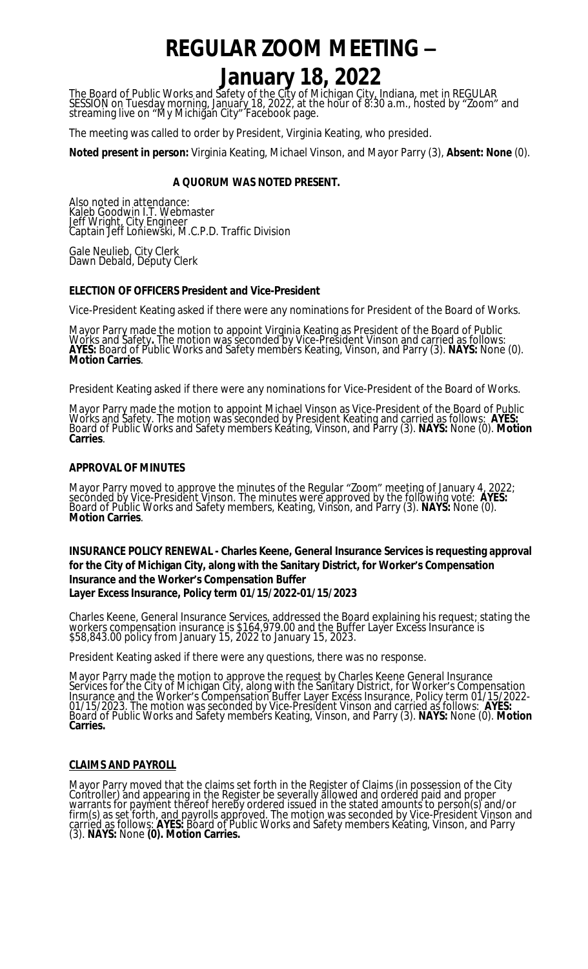# **REGULAR ZOOM MEETING –**

# **January 18, 2022**

The Board of Public Works and Safety of the City of Michigan City, Indiana, met in REGULAR SESSION on Tuesday morning, January 18, 2022, at the hour of 8:30 a.m., hosted by "Zoom" and streaming live on "My Michigan City" Facebook page.

The meeting was called to order by President, Virginia Keating, who presided.

**Noted present in person:** Virginia Keating, Michael Vinson, and Mayor Parry (3), **Absent: None** (0).

## **A QUORUM WAS NOTED PRESENT.**

Also noted in attendance: Kaleb Goodwin I.T. Webmaster Jeff Wright, City Engineer Captain Jeff Loniewski, M.C.P.D. Traffic Division

Gale Neulieb, City Clerk Dawn Debald, Deputy Clerk

#### **ELECTION OF OFFICERS President and Vice-President**

Vice-President Keating asked if there were any nominations for President of the Board of Works.

Mayor Parry made the motion to appoint Virginia Keating as President of the Board of Public Works and Safety**.** The motion was seconded by Vice-President Vinson and carried as follows: **AYES:** Board of Public Works and Safety members Keating, Vinson, and Parry (3). **NAYS:** None (0). **Motion Carries**.

President Keating asked if there were any nominations for Vice-President of the Board of Works.

Mayor Parry made the motion to appoint Michael Vinson as Vice-President of the Board of Public Works and Safety. The motion was seconded by President Keating and carried as follows: **AYES:**  Board of Public Works and Safety members Keating, Vinson, and Parry (3). **NAYS:** None (0). **Motion Carries**.

#### **APPROVAL OF MINUTES**

Mayor Parry moved to approve the minutes of the Regular "Zoom" meeting of January 4, 2022; seconded by Vice-President Vinson. The minutes were approved by the following vote: **AYES:**  Board of Public Works and Safety members, Keating, Vinson, and Parry (3). **NAYS:** None (0). **Motion Carries**.

# **INSURANCE POLICY RENEWAL - Charles Keene, General Insurance Services is requesting approval for the City of Michigan City, along with the Sanitary District, for Worker's Compensation Insurance and the Worker's Compensation Buffer**

#### **Layer Excess Insurance, Policy term 01/15/2022-01/15/2023**

Charles Keene, General Insurance Services, addressed the Board explaining his request; stating the workers compensation insurance is \$164,979.00 and the Buffer Layer Excess Insurance is \$58,843.00 policy from January 15, 2022 to January 15, 2023.

President Keating asked if there were any questions, there was no response.

Mayor Parry made the motion to approve the request by Charles Keene General Insurance Services for the City of Michigan City, along with the Sanitary District, for Worker's Compensation Insurance and the Worker's Compensation Buffer Layer Excess Insurance, Policy term 01/15/2022- 01/15/2023. The motion was seconded by Vice-President Vinson and carried as follows: **AYES:** Board of Public Works and Safety members Keating, Vinson, and Parry (3). **NAYS:** None (0). **Motion Carries.**

## **CLAIMS AND PAYROLL**

Mayor Parry moved that the claims set forth in the Register of Claims (in possession of the City Controller) and appearing in the Register be severally allowed and ordered paid and proper warrants for payment thereof hereby ordered issued in the stated amounts to person(s) and/or firm(s) as set forth, and payrolls approved. The motion was seconded by Vice-President Vinson and carried as follows: **AYES:** Board of Public Works and Safety members Keating, Vinson, and Parry (3). **NAYS:** None **(0). Motion Carries.**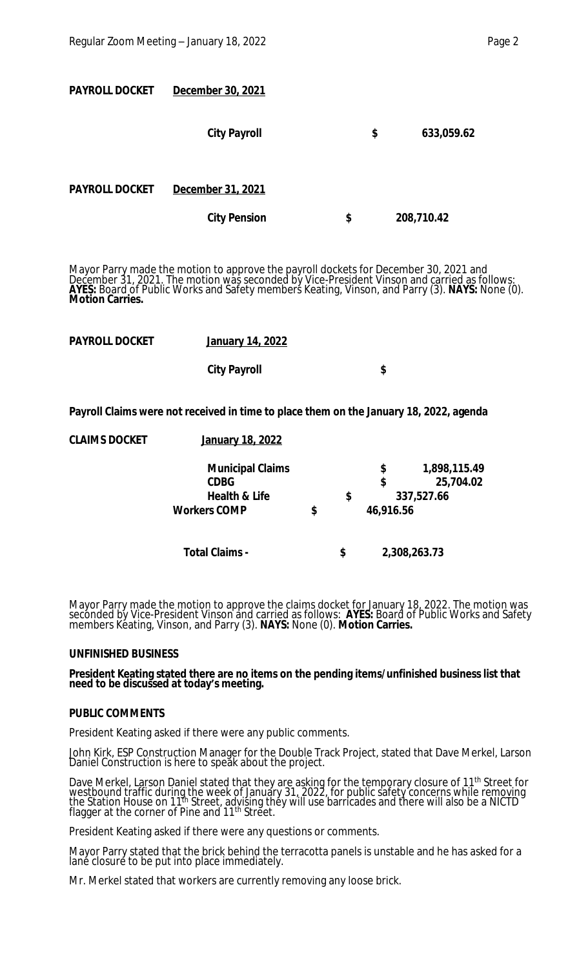| <b>PAYROLL DOCKET</b> | December 30, 2021   |    |            |  |
|-----------------------|---------------------|----|------------|--|
|                       | <b>City Payroll</b> | \$ | 633,059.62 |  |
| <b>PAYROLL DOCKET</b> | December 31, 2021   |    |            |  |
|                       | <b>City Pension</b> | \$ | 208,710.42 |  |

Mayor Parry made the motion to approve the payroll dockets for December 30, 2021 and December 31, 2021. The motion was seconded by Vice-President Vinson and carried as follows: **AYES:** Board of Public Works and Safety members Keating, Vinson, and Parry (3). **NAYS:** None (0). **Motion Carries.**

| <b>PAYROLL DOCKET</b> | January 14, 2022    |    |  |  |
|-----------------------|---------------------|----|--|--|
|                       | <b>City Payroll</b> | \$ |  |  |
|                       |                     |    |  |  |

**Payroll Claims were not received in time to place them on the January 18, 2022, agenda**

| <b>CLAIMS DOCKET</b> | <b>January 18, 2022</b>  |    |           |              |
|----------------------|--------------------------|----|-----------|--------------|
|                      | <b>Municipal Claims</b>  |    | \$        | 1,898,115.49 |
|                      | <b>CDBG</b>              |    | \$        | 25,704.02    |
|                      | <b>Health &amp; Life</b> | \$ |           | 337,527.66   |
|                      | <b>Workers COMP</b>      | \$ | 46,916.56 |              |
|                      | <b>Total Claims -</b>    | \$ |           | 2,308,263.73 |
|                      |                          |    |           |              |

Mayor Parry made the motion to approve the claims docket for January 18, 2022. The motion was seconded by Vice-President Vinson and carried as follows: **AYES:** Board of Public Works and Safety members Keating, Vinson, and Parry (3). **NAYS:** None (0). **Motion Carries.**

## **UNFINISHED BUSINESS**

#### **President Keating stated there are no items on the pending items/unfinished business list that need to be discussed at today's meeting.**

#### **PUBLIC COMMENTS**

President Keating asked if there were any public comments.

John Kirk, ESP Construction Manager for the Double Track Project, stated that Dave Merkel, Larson Daniel Construction is here to speăk about the project.

Dave Merkel, Larson Daniel stated that they are asking for the temporary closure of 11<sup>th</sup> Street for westbound traffic during the week of January 31, 2022, for public safety concerns while removing the Station House on 11<sup>th</sup> Street, advising they will use barricades and there will also be a NICTD flagger at the corner of Pine and 11<sup>th</sup> Strĕet.

President Keating asked if there were any questions or comments.

Mayor Parry stated that the brick behind the terracotta panels is unstable and he has asked for a lané closuré to be put into place immediately.

Mr. Merkel stated that workers are currently removing any loose brick.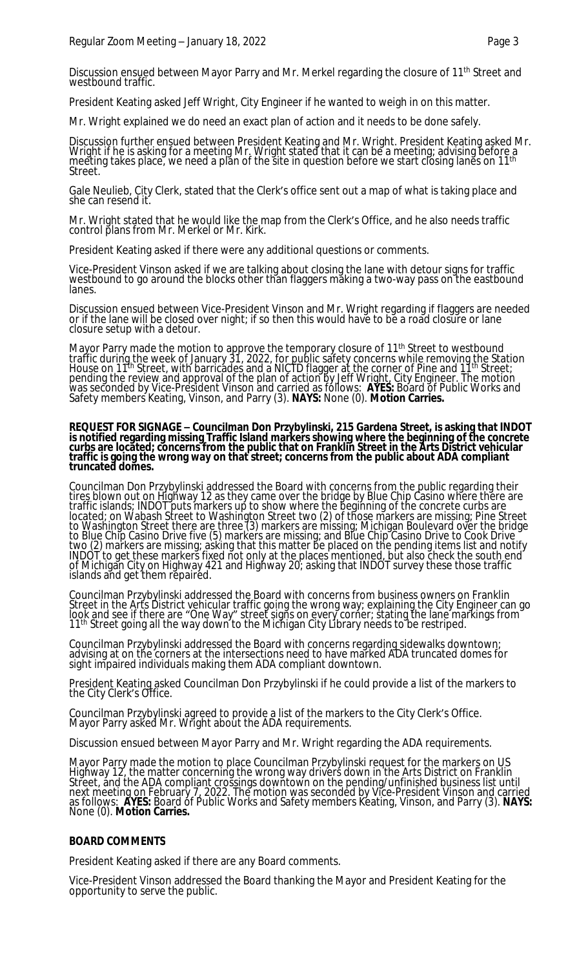Discussion ensued between Mayor Parry and Mr. Merkel regarding the closure of 11<sup>th</sup> Street and westbound traffic.

President Keating asked Jeff Wright, City Engineer if he wanted to weigh in on this matter.

Mr. Wright explained we do need an exact plan of action and it needs to be done safely.

Discussion further ensued between President Keating and Mr. Wright. President Keating asked Mr. Wright if he is asking for a meeting Mr. Wright stated that it can be a meeting; advising before a meeting takes place, we need a plan of the site in question before we start closing lanes on 11th Street.

Gale Neulieb, City Clerk, stated that the Clerk's office sent out a map of what is taking place and she can resend it.

Mr. Wright stated that he would like the map from the Clerk's Office, and he also needs traffic control plans from Mr. Merkel or Mr. Kirk.

President Keating asked if there were any additional questions or comments.

Vice-President Vinson asked if we are talking about closing the lane with detour signs for traffic westbound to go around the blocks other than flaggers măking a two-way pass on the eastbound lanes.

Discussion ensued between Vice-President Vinson and Mr. Wright regarding if flaggers are needed or if the lane will be closed over night; if so then this would have to be a road closure or lane closure setup with a detour.

Mayor Parry made the motion to approve the temporary closure of 11<sup>th</sup> Street to westbound traffic during the week of January 31, 2022, for public safety concerns while removing the Station House on 11th Street, with barricades and a NICTD flagger at the corner of Pine and 11th Street; pending the review and approval of the plan of action by Jeff Wright, City Engineer. The motion was seconded by Vice-President Vinson and carried as follows: **AYES:** Board of Public Works and Safety members Keating, Vinson, and Parry (3). **NAYS:** None (0). **Motion Carries.**

#### **REQUEST FOR SIGNAGE – Councilman Don Przybylinski, 215 Gardena Street, is asking that INDOT is notified regarding missing Traffic Island markers showing where the beginning of the concrete curbs are located; concerns from the public that on Franklin Street in the Arts District vehicular traffic is going the wrong way on that street; concerns from the public about ADA compliant truncated domes.**

Councilman Don Przybylinski addressed the Board with concerns from the public regarding their tires blown out on Highway 12 as they came over the bridge by Blue Chip Casino where there are traffic islands; INDOT puts markers up to show where the beginning of the concrete curbs are located; on Wabash Street to Washington Street two (2) of those markers are missing; Pine Street to Washington Street there are three (3) markers are missing; Michigan Boulevard over the bridge to Blue Chip Casino Drive five (5) markers are missing; and Blue Chip Casino Drive to Cook Drive two (2) markers are missing; asking that this matter be placed on the pending items list and notify INDOT to get these markers fixed not only at the places mentioned, but also check the south end of Michigan City on Highway 421 and Highway 20; asking that INDOT survey these those traffic islands and get them repaired.

Councilman Przybylinski addressed the Board with concerns from business owners on Franklin Street in the Arts District vehicular traffic going the wrong way; explaining the City Engineer can go look and see if there are "One Way" street signs on every corner; stating the lane markings from ' 11<sup>th</sup> Street going all the way down to the Michigan City Library needs to be restriped.

Councilman Przybylinski addressed the Board with concerns regarding sidewalks downtown; advising at on the corners at the intersections need to have marked ADA truncated domes for sight impaired individuals making them ADA compliant downtown.

President Keating asked Councilman Don Przybylinski if he could provide a list of the markers to the City Clerk's Office.

Councilman Przybylinski agreed to provide a list of the markers to the City Clerk's Office. Mayor Parry asked Mr. Wright about the ADA requirements.

Discussion ensued between Mayor Parry and Mr. Wright regarding the ADA requirements.

Mayor Parry made the motion to place Councilman Przybylinski request for the markers on US Highway 12, the matter concerning the wrong way drivers down in the Arts District on Franklin Street, and the ADA compliant crossings downtown on the pending/unfinished business list until next meeting on February 7, 2022. The motion was seconded by Vice-President Vinson and carried as follows: **AYES:** Board of Public Works and Safety members Keating, Vinson, and Parry (3). **NAYS:** None (0). **Motion Carries.**

#### **BOARD COMMENTS**

President Keating asked if there are any Board comments.

Vice-President Vinson addressed the Board thanking the Mayor and President Keating for the opportunity to serve the public.